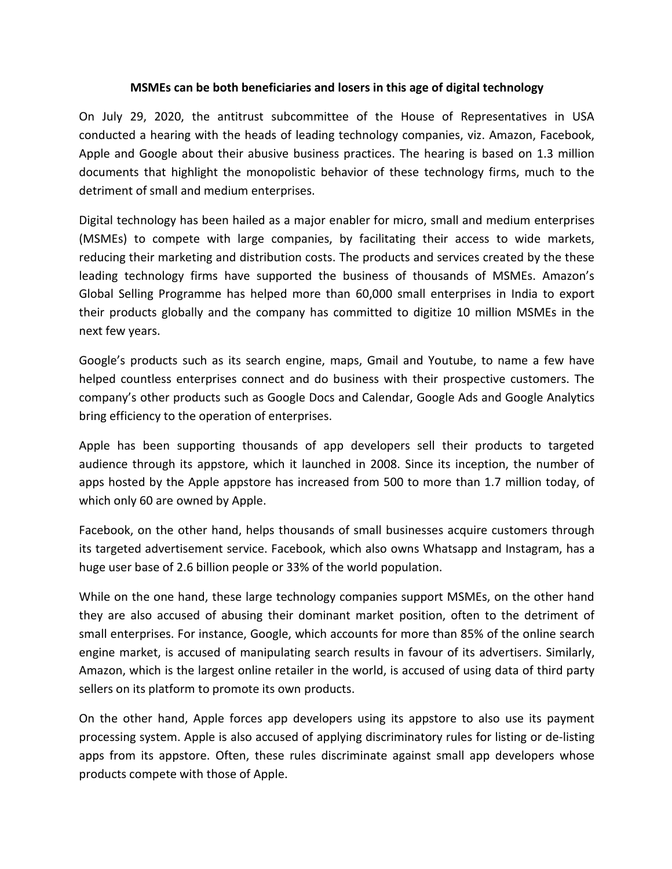## **MSMEs can be both beneficiaries and losers in this age of digital technology**

On July 29, 2020, the antitrust subcommittee of the House of Representatives in USA conducted a hearing with the heads of leading technology companies, viz. Amazon, Facebook, Apple and Google about their abusive business practices. The hearing is based on 1.3 million documents that highlight the monopolistic behavior of these technology firms, much to the detriment of small and medium enterprises.

Digital technology has been hailed as a major enabler for micro, small and medium enterprises (MSMEs) to compete with large companies, by facilitating their access to wide markets, reducing their marketing and distribution costs. The products and services created by the these leading technology firms have supported the business of thousands of MSMEs. Amazon's Global Selling Programme has helped more than 60,000 small enterprises in India to export their products globally and the company has committed to digitize 10 million MSMEs in the next few years.

Google's products such as its search engine, maps, Gmail and Youtube, to name a few have helped countless enterprises connect and do business with their prospective customers. The company's other products such as Google Docs and Calendar, Google Ads and Google Analytics bring efficiency to the operation of enterprises.

Apple has been supporting thousands of app developers sell their products to targeted audience through its appstore, which it launched in 2008. Since its inception, the number of apps hosted by the Apple appstore has increased from 500 to more than 1.7 million today, of which only 60 are owned by Apple.

Facebook, on the other hand, helps thousands of small businesses acquire customers through its targeted advertisement service. Facebook, which also owns Whatsapp and Instagram, has a huge user base of 2.6 billion people or 33% of the world population.

While on the one hand, these large technology companies support MSMEs, on the other hand they are also accused of abusing their dominant market position, often to the detriment of small enterprises. For instance, Google, which accounts for more than 85% of the online search engine market, is accused of manipulating search results in favour of its advertisers. Similarly, Amazon, which is the largest online retailer in the world, is accused of using data of third party sellers on its platform to promote its own products.

On the other hand, Apple forces app developers using its appstore to also use its payment processing system. Apple is also accused of applying discriminatory rules for listing or de-listing apps from its appstore. Often, these rules discriminate against small app developers whose products compete with those of Apple.